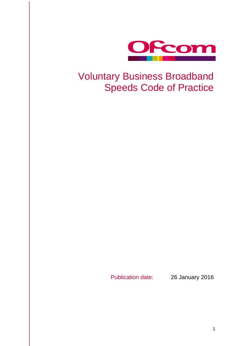

## Voluntary Business Broadband Speeds Code of Practice

Publication date: 26 January 2016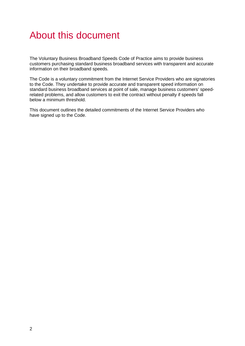## About this document

The Voluntary Business Broadband Speeds Code of Practice aims to provide business customers purchasing standard business broadband services with transparent and accurate information on their broadband speeds.

The Code is a voluntary commitment from the Internet Service Providers who are signatories to the Code. They undertake to provide accurate and transparent speed information on standard business broadband services at point of sale, manage business customers' speedrelated problems, and allow customers to exit the contract without penalty if speeds fall below a minimum threshold.

This document outlines the detailed commitments of the Internet Service Providers who have signed up to the Code.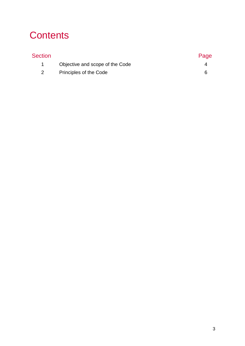# **Contents**

| <b>Section</b> |                                 | Page |
|----------------|---------------------------------|------|
|                | Objective and scope of the Code |      |
|                | Principles of the Code          | h    |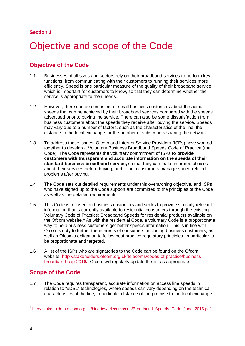#### **Section 1**

# <span id="page-3-0"></span>Objective and scope of the Code

## **Objective of the Code**

- 1.1 Businesses of all sizes and sectors rely on their broadband services to perform key functions, from communicating with their customers to running their services more efficiently. Speed is one particular measure of the quality of their broadband service which is important for customers to know, so that they can determine whether the service is appropriate to their needs.
- 1.2 However, there can be confusion for small business customers about the actual speeds that can be achieved by their broadband services compared with the speeds advertised prior to buying the service. There can also be some dissatisfaction from business customers about the speeds they receive after buying the service. Speeds may vary due to a number of factors, such as the characteristics of the line, the distance to the local exchange, or the number of subscribers sharing the network.
- 1.3 To address these issues, Ofcom and Internet Service Providers (ISPs) have worked together to develop a Voluntary Business Broadband Speeds Code of Practice (the Code). The Code represents the voluntary commitment of ISPs **to provide customers with transparent and accurate information on the speeds of their standard business broadband service,** so that they can make informed choices about their services before buying, and to help customers manage speed-related problems after buying.
- 1.4 The Code sets out detailed requirements under this overarching objective, and ISPs who have signed up to the Code support are committed to the principles of the Code as well as the detailed requirements.
- 1.5 This Code is focused on business customers and seeks to provide similarly relevant information that is currently available to residential consumers through the existing Voluntary Code of Practice: Broadband Speeds for residential products available on the Ofcom website.<sup>[1](#page-3-1)</sup> As with the residential Code, a voluntary Code is a proportionate way to help business customers get better speeds information. This is in line with Ofcom's duty to further the interests of consumers, including business customers, as well as Ofcom's obligation to follow best practice regulatory principles, in particular to be proportionate and targeted.
- 1.6 A list of the ISPs who are signatories to the Code can be found on the Ofcom website: [http://stakeholders.ofcom.org.uk/telecoms/codes-of-practice/business](http://stakeholders.ofcom.org.uk/telecoms/codes-of-practice/business-broadband-cop-2016/)[broadband-cop-2016/.](http://stakeholders.ofcom.org.uk/telecoms/codes-of-practice/business-broadband-cop-2016/) Ofcom will regularly update the list as appropriate.

## **Scope of the Code**

1.7 The Code requires transparent, accurate information on access line speeds in relation to "xDSL" technologies, where speeds can vary depending on the technical characteristics of the line, in particular distance of the premise to the local exchange

<span id="page-3-1"></span> <sup>1</sup> [http://stakeholders.ofcom.org.uk/binaries/telecoms/cop/Broadband\\_Speeds\\_Code\\_June\\_2015.pdf](http://stakeholders.ofcom.org.uk/binaries/telecoms/cop/Broadband_Speeds_Code_June_2015.pdf)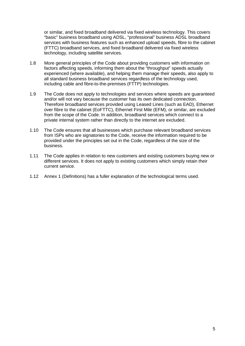or similar, and fixed broadband delivered via fixed wireless technology. This covers "basic" business broadband using ADSL, "professional" business ADSL broadband services with business features such as enhanced upload speeds, fibre to the cabinet (FTTC) broadband services, and fixed broadband delivered via fixed wireless technology, including satellite services.

- 1.8 More general principles of the Code about providing customers with information on factors affecting speeds, informing them about the "throughput" speeds actually experienced (where available), and helping them manage their speeds, also apply to all standard business broadband services regardless of the technology used, including cable and fibre-to-the-premises (FTTP) technologies.
- 1.9 The Code does not apply to technologies and services where speeds are guaranteed and/or will not vary because the customer has its own dedicated connection. Therefore broadband services provided using Leased Lines (such as EAD), Ethernet over fibre to the cabinet (EoFTTC), Ethernet First Mile (EFM), or similar, are excluded from the scope of the Code. In addition, broadband services which connect to a private internal system rather than directly to the internet are excluded.
- 1.10 The Code ensures that all businesses which purchase relevant broadband services from ISPs who are signatories to the Code, receive the information required to be provided under the principles set out in the Code, regardless of the size of the business.
- 1.11 The Code applies in relation to new customers and existing customers buying new or different services. It does not apply to existing customers which simply retain their current service.
- 1.12 Annex 1 (Definitions) has a fuller explanation of the technological terms used.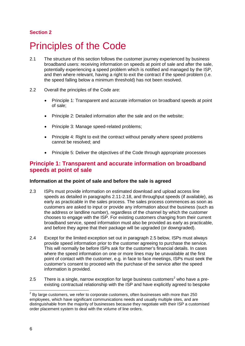### **Section 2**

## <span id="page-5-0"></span>Principles of the Code

- 2.1 The structure of this section follows the customer journey experienced by business broadband users: receiving information on speeds at point of sale and after the sale, potentially experiencing a speed problem which is notified and managed by the ISP, and then where relevant, having a right to exit the contract if the speed problem (i.e. the speed falling below a minimum threshold) has not been resolved.
- 2.2 Overall the principles of the Code are:
	- Principle 1: Transparent and accurate information on broadband speeds at point of sale;
	- Principle 2: Detailed information after the sale and on the website;
	- Principle 3: Manage speed-related problems;
	- Principle 4: Right to exit the contract without penalty where speed problems cannot be resolved; and
	- Principle 5: Deliver the objectives of the Code through appropriate processes

### **Principle 1: Transparent and accurate information on broadband speeds at point of sale**

#### **Information at the point of sale and before the sale is agreed**

- 2.3 ISPs must provide information on estimated download and upload access line speeds as detailed in paragraphs 2.11-2.18, and throughput speeds (if available), as early as practicable in the sales process. The sales process commences as soon as customers are asked to input or provide any information about the business (such as the address or landline number), regardless of the channel by which the customer chooses to engage with the ISP. For existing customers changing from their current broadband service, speed information must also be provided as early as practicable, and before they agree that their package will be upgraded (or downgraded).
- 2.4 Except for the limited exception set out in paragraph 2.5 below, ISPs must always provide speed information prior to the customer agreeing to purchase the service. This will normally be before ISPs ask for the customer's financial details. In cases where the speed information on one or more lines may be unavailable at the first point of contact with the customer, e.g. in face to face meetings, ISPs must seek the customer's consent to proceed with the purchase of the service after the speed information is provided.
- [2](#page-5-1).5 There is a single, narrow exception for large business customers<sup>2</sup> who have a preexisting contractual relationship with the ISP and have explicitly agreed to bespoke

<span id="page-5-1"></span> $2$  By large customers, we refer to corporate customers, often businesses with more than 250 employees, which have significant communications needs and usually multiple sites, and are distinguishable from the majority of businesses because they negotiate with their ISP a customised order placement system to deal with the volume of line orders.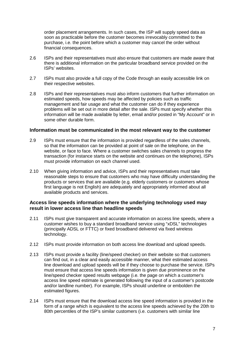order placement arrangements. In such cases, the ISP will supply speed data as soon as practicable before the customer becomes irrevocably committed to the purchase, i.e. the point before which a customer may cancel the order without financial consequences.

- 2.6 ISPs and their representatives must also ensure that customers are made aware that there is additional information on the particular broadband service provided on the ISPs' websites.
- 2.7 ISPs must also provide a full copy of the Code through an easily accessible link on their respective websites.
- 2.8 ISPs and their representatives must also inform customers that further information on estimated speeds, how speeds may be affected by policies such as traffic management and fair usage and what the customer can do if they experience problems will be set out in more detail after the sale. ISPs must specify whether this information will be made available by letter, email and/or posted in "My Account" or in some other durable form.

#### **Information must be communicated in the most relevant way to the customer**

- 2.9 ISPs must ensure that the information is provided regardless of the sales channels, so that the information can be provided at point of sale on the telephone, on the website, or face to face. Where a customer switches sales channels to progress the transaction (for instance starts on the website and continues on the telephone), ISPs must provide information on each channel used.
- 2.10 When giving information and advice, ISPs and their representatives must take reasonable steps to ensure that customers who may have difficulty understanding the products or services that are available (e.g. elderly customers or customers whose first language is not English) are adequately and appropriately informed about all available products and services.

#### **Access line speeds information where the underlying technology used may result in lower access line than headline speeds**

- 2.11 ISPs must give transparent and accurate information on access line speeds, where a customer wishes to buy a standard broadband service using "xDSL" technologies (principally ADSL or FTTC) or fixed broadband delivered via fixed wireless technology.
- 2.12 ISPs must provide information on both access line download and upload speeds.
- 2.13 ISPs must provide a facility (line/speed checker) on their website so that customers can find out, in a clear and easily accessible manner, what their estimated access line download and upload speeds will be if they choose to purchase the service. ISPs must ensure that access line speeds information is given due prominence on the line/speed checker speed results webpage (i.e. the page on which a customer's access line speed estimate is generated following the input of a customer's postcode and/or landline number). For example, ISPs should underline or embolden the estimated figures.
- 2.14 ISPs must ensure that the download access line speed information is provided in the form of a range which is equivalent to the access line speeds achieved by the 20th to 80th percentiles of the ISP's similar customers (i.e. customers with similar line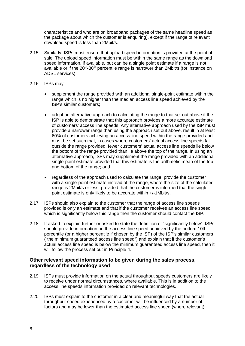characteristics and who are on broadband packages of the same headline speed as the package about which the customer is enquiring), except if the range of relevant download speed is less than 2Mbit/s.

- 2.15 Similarly, ISPs must ensure that upload speed information is provided at the point of sale. The upload speed information must be within the same range as the download speed information, if available, but can be a single point estimate if a range is not available or if the  $20<sup>th</sup>$ -80<sup>th</sup> percentile range is narrower than 2Mbit/s (for instance on ADSL services).
- 2.16 ISPs may:
	- supplement the range provided with an additional single-point estimate within the range which is no higher than the median access line speed achieved by the ISP's similar customers;
	- adopt an alternative approach to calculating the range to that set out above if the ISP is able to demonstrate that this approach provides a more accurate estimate of customers' access line speeds. Any alternative approach used by the ISP must provide a narrower range than using the approach set out above, result in at least 60% of customers achieving an access line speed within the range provided and must be set such that, in cases where customers' actual access line speeds fall outside the range provided, fewer customers' actual access line speeds lie below the bottom of the range provided than lie above the top of the range. In using an alternative approach, ISPs may supplement the range provided with an additional single-point estimate provided that this estimate is the arithmetic mean of the top and bottom of the range; and
	- regardless of the approach used to calculate the range, provide the customer with a single-point estimate instead of the range, where the size of the calculated range is 2Mbit/s or less, provided that the customer is informed that the single point estimate is only likely to be accurate within +/-1Mbit/s.
- 2.17 ISPs should also explain to the customer that the range of access line speeds provided is only an estimate and that if the customer receives an access line speed which is significantly below this range then the customer should contact the ISP.
- 2.18 If asked to explain further or asked to state the definition of "significantly below", ISPs should provide information on the access line speed achieved by the bottom 10th percentile (or a higher percentile if chosen by the ISP) of the ISP's similar customers ("the minimum guaranteed access line speed") and explain that if the customer's actual access line speed is below the minimum guaranteed access line speed, then it will follow the process set out in Principle 4.

#### **Other relevant speed information to be given during the sales process, regardless of the technology used**

- 2.19 ISPs must provide information on the actual throughput speeds customers are likely to receive under normal circumstances, where available. This is in addition to the access line speeds information provided on relevant technologies.
- 2.20 ISPs must explain to the customer in a clear and meaningful way that the actual throughput speed experienced by a customer will be influenced by a number of factors and may be lower than the estimated access line speed (where relevant).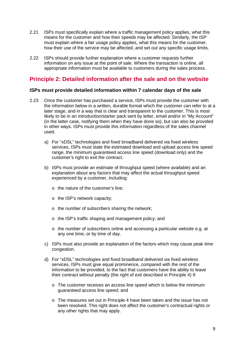- 2.21 ISPs must specifically explain where a traffic management policy applies, what this means for the customer and how their speeds may be affected. Similarly, the ISP must explain where a fair usage policy applies, what this means for the customer, how their use of the service may be affected, and set out any specific usage limits.
- 2.22 ISPs should provide further explanation where a customer requests further information on any issue at the point of sale. Where the transaction is online, all appropriate information must be available to customers during the sales process.

## **Principle 2: Detailed information after the sale and on the website**

#### **ISPs must provide detailed information within 7 calendar days of the sale**

- 2.23 Once the customer has purchased a service, ISPs must provide the customer with the information below in a written, durable format which the customer can refer to at a later stage, and in a way that is clear and transparent to the customer. This is most likely to be in an introduction/starter pack sent by letter, email and/or in "My Account" (in the latter case, notifying them when they have done so), but can also be provided in other ways. ISPs must provide this information regardless of the sales channel used.
	- a) For "xDSL" technologies and fixed broadband delivered via fixed wireless services, ISPs must state the estimated download and upload access line speed range, the minimum guaranteed access line speed (download only) and the customer's right to exit the contract.
	- b) ISPs must provide an estimate of throughput speed (where available) and an explanation about any factors that may affect the actual throughput speed experienced by a customer, including:
		- o the nature of the customer's line;
		- o the ISP's network capacity;
		- o the number of subscribers sharing the network;
		- o the ISP's traffic shaping and management policy; and
		- $\circ$  the number of subscribers online and accessing a particular website e.g. at any one time, or by time of day.
	- c) ISPs must also provide an explanation of the factors which may cause peak time congestion.
	- d) For "xDSL" technologies and fixed broadband delivered via fixed wireless services, ISPs must give equal prominence, compared with the rest of the information to be provided, to the fact that customers have the ability to leave their contract without penalty (the right of exit described in Principle 4) if:
		- o The customer receives an access line speed which is below the minimum guaranteed access line speed; and
		- o The measures set out in Principle 4 have been taken and the issue has not been resolved. This right does not affect the customer's contractual rights or any other rights that may apply.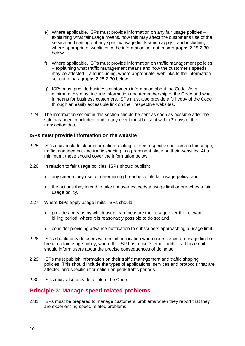- e) Where applicable, ISPs must provide information on any fair usage policies explaining what fair usage means, how this may affect the customer's use of the service and setting out any specific usage limits which apply – and including, where appropriate, weblinks to the information set out in paragraphs 2.25-2.30 below.
- f) Where applicable, ISPs must provide information on traffic management policies – explaining what traffic management means and how the customer's speeds may be affected – and including, where appropriate, weblinks to the information set out in paragraphs 2.25-2.30 below.
- g) ISPs must provide business customers information about the Code. As a minimum this must include information about membership of the Code and what it means for business customers. ISPs must also provide a full copy of the Code through an easily accessible link on their respective websites.
- 2.24 The information set out in this section should be sent as soon as possible after the sale has been concluded, and in any event must be sent within 7 days of the transaction date.

#### **ISPs must provide information on the website**

- 2.25 ISPs must include clear information relating to their respective policies on fair usage, traffic management and traffic shaping in a prominent place on their websites. At a minimum, these should cover the information below.
- 2.26 In relation to fair usage policies, ISPs should publish:
	- any criteria they use for determining breaches of its fair usage policy; and
	- the actions they intend to take if a user exceeds a usage limit or breaches a fair usage policy.
- 2.27 Where ISPs apply usage limits, ISPs should:
	- provide a means by which users can measure their usage over the relevant billing period, where it is reasonably possible to do so; and
	- consider providing advance notification to subscribers approaching a usage limit.
- 2.28 ISPs should provide users with email notification when users exceed a usage limit or breach a fair usage policy, where the ISP has a user's email address. This email should inform users about the precise consequences of doing so.
- 2.29 ISPs must publish information on their traffic management and traffic shaping policies. This should include the types of applications, services and protocols that are affected and specific information on peak traffic periods.
- 2.30 ISPs must also provide a link to the Code.

### **Principle 3: Manage speed-related problems**

2.31 ISPs must be prepared to manage customers' problems when they report that they are experiencing speed related problems.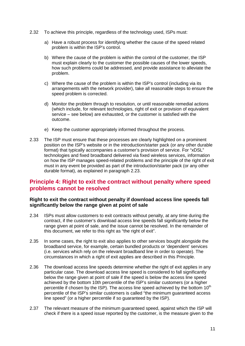- 2.32 To achieve this principle, regardless of the technology used, ISPs must:
	- a) Have a robust process for identifying whether the cause of the speed related problem is within the ISP's control.
	- b) Where the cause of the problem is within the control of the customer, the ISP must explain clearly to the customer the possible causes of the lower speeds, how such problems could be addressed, and provide assistance to alleviate the problem.
	- c) Where the cause of the problem is within the ISP's control (including via its arrangements with the network provider), take all reasonable steps to ensure the speed problem is corrected.
	- d) Monitor the problem through to resolution, or until reasonable remedial actions (which include, for relevant technologies, right of exit or provision of equivalent service – see below) are exhausted, or the customer is satisfied with the outcome.
	- e) Keep the customer appropriately informed throughout the process.
- 2.33 The ISP must ensure that these processes are clearly highlighted on a prominent position on the ISP's website or in the introduction/starter pack (or any other durable format) that typically accompanies a customer's provision of service. For "xDSL" technologies and fixed broadband delivered via fixed wireless services, information on how the ISP manages speed-related problems and the principle of the right of exit must in any event be provided as part of the introduction/starter pack (or any other durable format), as explained in paragraph 2.23.

### **Principle 4: Right to exit the contract without penalty where speed problems cannot be resolved**

#### **Right to exit the contract without penalty if download access line speeds fall significantly below the range given at point of sale**

- 2.34 ISPs must allow customers to exit contracts without penalty, at any time during the contract, if the customer's download access line speeds fall significantly below the range given at point of sale, and the issue cannot be resolved. In the remainder of this document, we refer to this right as "the right of exit".
- 2.35 In some cases, the right to exit also applies to other services bought alongside the broadband service, for example, certain bundled products or 'dependent' services (i.e. services which rely on the relevant broadband line in order to operate). The circumstances in which a right of exit applies are described in this Principle.
- 2.36 The download access line speeds determine whether the right of exit applies in any particular case. The download access line speed is considered to fall significantly below the range given at point of sale if the speed is below the access line speed achieved by the bottom 10th percentile of the ISP's similar customers (or a higher percentile if chosen by the ISP). The access line speed achieved by the bottom  $10<sup>th</sup>$ percentile of the ISP's similar customers is called "the minimum guaranteed access line speed" (or a higher percentile if so guaranteed by the ISP).
- 2.37 The relevant measure of the minimum guaranteed speed, against which the ISP will check if there is a speed issue reported by the customer, is the measure given to the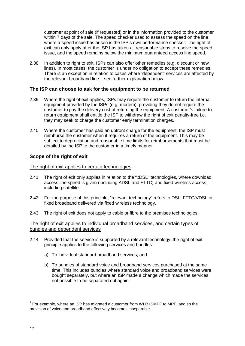customer at point of sale (if requested) or in the information provided to the customer within 7 days of the sale. The speed checker used to assess the speed on the line where a speed issue has arisen is the ISP's own performance checker. The right of exit can only apply after the ISP has taken all reasonable steps to resolve the speed issue, and the speed remains below the minimum guaranteed access line speed.

2.38 In addition to right to exit, ISPs can also offer other remedies (e.g. discount or new lines). In most cases, the customer is under no obligation to accept these remedies. There is an exception in relation to cases where 'dependent' services are affected by the relevant broadband line – see further explanation below.

#### **The ISP can choose to ask for the equipment to be returned**

- 2.39 Where the right of exit applies, ISPs may require the customer to return the internal equipment provided by the ISPs (e.g. modem), providing they do not require the customer to pay the delivery cost of returning the equipment. A customer's failure to return equipment shall entitle the ISP to withdraw the right of exit penalty-free i.e. they may seek to charge the customer early termination charges.
- 2.40 Where the customer has paid an upfront charge for the equipment, the ISP must reimburse the customer when it requires a return of the equipment. This may be subject to depreciation and reasonable time limits for reimbursements that must be detailed by the ISP to the customer in a timely manner.

#### **Scope of the right of exit**

#### The right of exit applies to certain technologies

- 2.41 The right of exit only applies in relation to the "xDSL" technologies, where download access line speed is given (including ADSL and FTTC) and fixed wireless access, including satellite.
- 2.42 For the purpose of this principle, "relevant technology" refers to DSL, FTTC/VDSL or fixed broadband delivered via fixed wireless technology.
- 2.43 The right of exit does not apply to cable or fibre to the premises technologies.

#### The right of exit applies to individual broadband services, and certain types of bundles and dependent services

- 2.44 Provided that the service is supported by a relevant technology, the right of exit principle applies to the following services and bundles:
	- a) To individual standard broadband services; and
	- b) To bundles of standard voice and broadband services purchased at the same time. This includes bundles where standard voice and broadband services were bought separately, but where an ISP made a change which made the services not possible to be separated out again<sup>[3](#page-11-0)</sup>.

<span id="page-11-0"></span> $3$  For example, where an ISP has migrated a customer from WLR+SMPF to MPF, and so the provision of voice and broadband effectively becomes inseparable.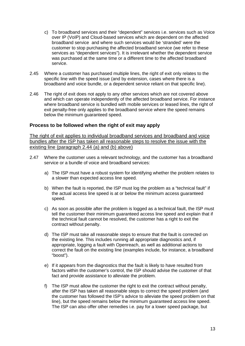- c) To broadband services and their "dependent" services i.e. services such as Voice over IP (VoIP) and Cloud-based services which are dependent on the affected broadband service and where such services would be 'stranded' were the customer to stop purchasing the affected broadband service (we refer to these services as "dependent services"). It is irrelevant whether the dependent service was purchased at the same time or a different time to the affected broadband service.
- 2.45 Where a customer has purchased multiple lines, the right of exit only relates to the specific line with the speed issue (and by extension, cases where there is a broadband and voice bundle, or a dependent service reliant on that specific line).
- 2.46 The right of exit does not apply to any other services which are not covered above and which can operate independently of the affected broadband service. For instance where broadband service is bundled with mobile services or leased lines, the right of exit penalty-free only applies to the broadband service where the speed remains below the minimum guaranteed speed.

#### **Process to be followed when the right of exit may apply**

The right of exit applies to individual broadband services and broadband and voice bundles after the ISP has taken all reasonable steps to resolve the issue with the existing line (paragraph 2.44 (a) and (b) above)

- 2.47 Where the customer uses a relevant technology, and the customer has a broadband service or a bundle of voice and broadband services:
	- a) The ISP must have a robust system for identifying whether the problem relates to a slower than expected access line speed.
	- b) When the fault is reported, the ISP must log the problem as a "technical fault" if the actual access line speed is at or below the minimum access guaranteed speed.
	- c) As soon as possible after the problem is logged as a technical fault, the ISP must tell the customer their minimum guaranteed access line speed and explain that if the technical fault cannot be resolved, the customer has a right to exit the contract without penalty.
	- d) The ISP must take all reasonable steps to ensure that the fault is corrected on the existing line. This includes running all appropriate diagnostics and, if appropriate, logging a fault with Openreach, as well as additional actions to correct the fault on the existing line (examples include, for instance, a broadband "boost").
	- e) If it appears from the diagnostics that the fault is likely to have resulted from factors within the customer's control, the ISP should advise the customer of that fact and provide assistance to alleviate the problem.
	- f) The ISP must allow the customer the right to exit the contract without penalty, after the ISP has taken all reasonable steps to correct the speed problem (and the customer has followed the ISP's advice to alleviate the speed problem on that line), but the speed remains below the minimum guaranteed access line speed. The ISP can also offer other remedies i.e. pay for a lower speed package, but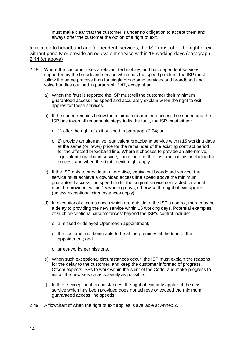must make clear that the customer is under no obligation to accept them and always offer the customer the option of a right of exit.

In relation to broadband and 'dependent' services, the ISP must offer the right of exit without penalty or provide an equivalent service within 15 working days (paragraph 2.44 (c) above)

- 2.48 Where the customer uses a relevant technology, and has dependent services supported by the broadband service which has the speed problem, the ISP must follow the same process than for single broadband services and broadband and voice bundles outlined in paragraph 2.47, except that:
	- a) When the fault is reported the ISP must tell the customer their minimum guaranteed access line speed and accurately explain when the right to exit applies for these services.
	- b) If the speed remains below the minimum guaranteed access line speed and the ISP has taken all reasonable steps to fix the fault, the ISP must either:
		- o 1) offer the right of exit outlined in paragraph 2.34; or
		- o 2) provide an alternative, equivalent broadband service within 15 working days at the same (or lower) price for the remainder of the existing contract period for the affected broadband line. Where it chooses to provide an alternative, equivalent broadband service, it must inform the customer of this, including the process and when the right to exit might apply.
	- c) If the ISP opts to provide an alternative, equivalent broadband service, the service must achieve a download access line speed above the minimum guaranteed access line speed under the original service contracted for and it must be provided within 15 working days, otherwise the right of exit applies (unless exceptional circumstances apply).
	- d) In exceptional circumstances which are outside of the ISP's control, there may be a delay to providing the new service within 15 working days. Potential examples of such 'exceptional circumstances' beyond the ISP's control include:
		- o a missed or delayed Openreach appointment;
		- o the customer not being able to be at the premises at the time of the appointment; and
		- o street-works permissions.
	- e) When such exceptional circumstances occur, the ISP must explain the reasons for the delay to the customer, and keep the customer informed of progress. Ofcom expects ISPs to work within the spirit of the Code, and make progress to install the new service as speedily as possible.
	- f) In these exceptional circumstances, the right of exit only applies if the new service which has been provided does not achieve or exceed the minimum guaranteed access line speeds.
- 2.49 A flowchart of when the right of exit applies is available at Annex 2.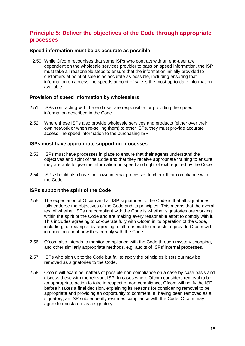## **Principle 5: Deliver the objectives of the Code through appropriate processes**

#### **Speed information must be as accurate as possible**

2.50 While Ofcom recognises that some ISPs who contract with an end-user are dependent on the wholesale services provider to pass on speed information, the ISP must take all reasonable steps to ensure that the information initially provided to customers at point of sale is as accurate as possible, including ensuring that information on access line speeds at point of sale is the most up-to-date information available.

#### **Provision of speed information by wholesalers**

- 2.51 ISPs contracting with the end user are responsible for providing the speed information described in the Code.
- 2.52 Where these ISPs also provide wholesale services and products (either over their own network or when re-selling them) to other ISPs, they must provide accurate access line speed information to the purchasing ISP.

#### **ISPs must have appropriate supporting processes**

- 2.53 ISPs must have processes in place to ensure that their agents understand the objectives and spirit of the Code and that they receive appropriate training to ensure they are able to give the information on speed and right of exit required by the Code
- 2.54 ISPs should also have their own internal processes to check their compliance with the Code.

#### **ISPs support the spirit of the Code**

- 2.55 The expectation of Ofcom and all ISP signatories to the Code is that all signatories fully endorse the objectives of the Code and its principles. This means that the overall test of whether ISPs are compliant with the Code is whether signatories are working within the spirit of the Code and are making every reasonable effort to comply with it. This includes agreeing to co-operate fully with Ofcom in its operation of the Code, including, for example, by agreeing to all reasonable requests to provide Ofcom with information about how they comply with the Code.
- 2.56 Ofcom also intends to monitor compliance with the Code through mystery shopping, and other similarly appropriate methods, e.g. audits of ISPs' internal processes.
- 2.57 ISPs who sign up to the Code but fail to apply the principles it sets out may be removed as signatories to the Code.
- 2.58 Ofcom will examine matters of possible non-compliance on a case-by-case basis and discuss these with the relevant ISP. In cases where Ofcom considers removal to be an appropriate action to take in respect of non-compliance, Ofcom will notify the ISP before it takes a final decision, explaining its reasons for considering removal to be appropriate and providing an opportunity to comment. If, having been removed as a signatory, an ISP subsequently resumes compliance with the Code, Ofcom may agree to reinstate it as a signatory.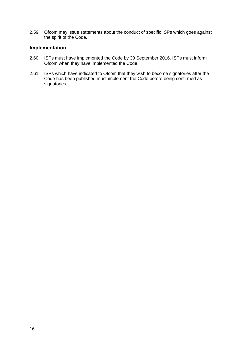2.59 Ofcom may issue statements about the conduct of specific ISPs which goes against the spirit of the Code.

#### **Implementation**

- 2.60 ISPs must have implemented the Code by 30 September 2016. ISPs must inform Ofcom when they have implemented the Code.
- 2.61 ISPs which have indicated to Ofcom that they wish to become signatories after the Code has been published must implement the Code before being confirmed as signatories.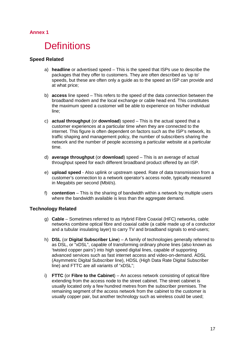### **Annex 1**

## **Definitions**

#### **Speed Related**

- a) **headline** or advertised speed This is the speed that ISPs use to describe the packages that they offer to customers. They are often described as 'up to' speeds, but these are often only a guide as to the speed an ISP can provide and at what price;
- b) **access** line speed This refers to the speed of the data connection between the broadband modem and the local exchange or cable head end. This constitutes the maximum speed a customer will be able to experience on his/her individual line;
- c) **actual throughput** (or **download**) speed This is the actual speed that a customer experiences at a particular time when they are connected to the internet. This figure is often dependent on factors such as the ISP's network, its traffic shaping and management policy, the number of subscribers sharing the network and the number of people accessing a particular website at a particular time.
- d) **average throughput** (or **download**) speed This is an average of actual throughput speed for each different broadband product offered by an ISP.
- e) **upload speed** Also uplink or upstream speed. Rate of data transmission from a customer's connection to a network operator's access node, typically measured in Megabits per second (Mbit/s).
- f) **contention** This is the sharing of bandwidth within a network by multiple users where the bandwidth available is less than the aggregate demand.

#### **Technology Related**

- g) **Cable** Sometimes referred to as Hybrid Fibre Coaxial (HFC) networks, cable networks combine optical fibre and coaxial cable (a cable made up of a conductor and a tubular insulating layer) to carry TV and broadband signals to end-users;
- h) **DSL** (or **Digital Subscriber Line**) A family of technologies generally referred to as DSL, or "xDSL", capable of transforming ordinary phone lines (also known as 'twisted copper pairs') into high speed digital lines, capable of supporting advanced services such as fast internet access and video-on-demand. ADSL (Asymmetric Digital Subscriber line), HDSL (High Data Rate Digital Subscriber line) and FTTC are all variants of "xDSL";
- i) **FTTC** (or **Fibre to the Cabinet**) An access network consisting of optical fibre extending from the access node to the street cabinet. The street cabinet is usually located only a few hundred metres from the subscriber premises. The remaining segment of the access network from the cabinet to the customer is usually copper pair, but another technology such as wireless could be used;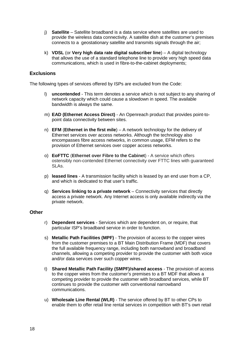- j) **Satellite**  Satellite broadband is a data service where satellites are used to provide the wireless data connectivity. A satellite dish at the customer's premises connects to a geostationary satellite and transmits signals through the air;
- k) **VDSL** (or **Very high data rate digital subscriber line**) A digital technology that allows the use of a standard telephone line to provide very high speed data communications, which is used in fibre-to-the-cabinet deployments;

#### **Exclusions**

The following types of services offered by ISPs are excluded from the Code:

- l) **uncontended** This term denotes a service which is not subject to any sharing of network capacity which could cause a slowdown in speed. The available bandwidth is always the same.
- m) **EAD (Ethernet Access Direct)** An Openreach product that provides point-topoint data connectivity between sites.
- n) **EFM** (**Ethernet in the first mile**) A network technology for the delivery of Ethernet services over access networks. Although the technology also encompasses fibre access networks, in common usage, EFM refers to the provision of Ethernet services over copper access networks.
- o) **EoFTTC** (**Ethernet over Fibre to the Cabinet**) A service which offers ostensibly non-contended Ethernet connectivity over FTTC lines with guaranteed SLAs.
- p) **leased lines** A transmission facility which is leased by an end user from a CP, and which is dedicated to that user's traffic.
- q) **Services linking to a private network** Connectivity services that directly access a private network. Any Internet access is only available indirectly via the private network.

#### **Other**

- r) **Dependent services** Services which are dependent on, or require, that particular ISP's broadband service in order to function.
- s) **Metallic Path Facilities (MPF)** The provision of access to the copper wires from the customer premises to a BT Main Distribution Frame (MDF) that covers the full available frequency range, including both narrowband and broadband channels, allowing a competing provider to provide the customer with both voice and/or data services over such copper wires.
- t) **Shared Metallic Path Facility (SMPF)/shared access** The provision of access to the copper wires from the customer's premises to a BT MDF that allows a competing provider to provide the customer with broadband services, while BT continues to provide the customer with conventional narrowband communications.
- u) **Wholesale Line Rental (WLR)** The service offered by BT to other CPs to enable them to offer retail line rental services in competition with BT's own retail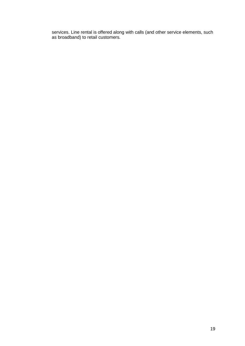services. Line rental is offered along with calls (and other service elements, such as broadband) to retail customers.